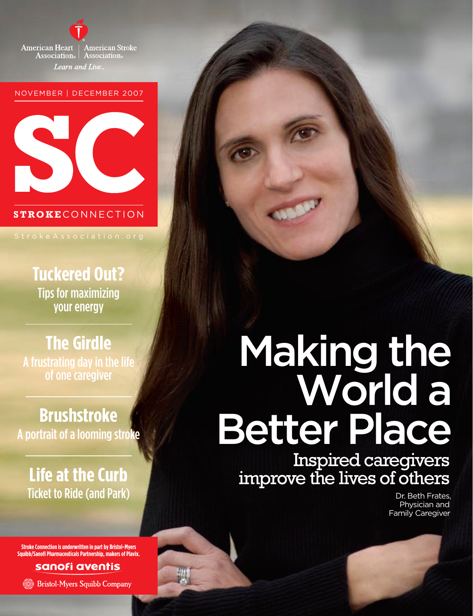

#### NOVEMBER | DECEMBER 2007



#### **STROKE** CONNECTION

**Tuckered Out?**  Tips for maximizing your energy

## **The Girdle** A frustrating day in the life of one caregiver

## **Brushstroke** A portrait of a looming stroke

## **Life at the Curb** Ticket to Ride (and Park)

**Stroke Connection is underwritten in part by Bristol-Myers Squibb/Sanofi Pharmaceuticals Partnership, makers of Plavix.**

### sanofi aventis

**Bristol-Myers Squibb Company** 

# Making the World a Better Place

Inspired caregivers improve the lives of others

> Dr. Beth Frates, Physician and Family Caregiver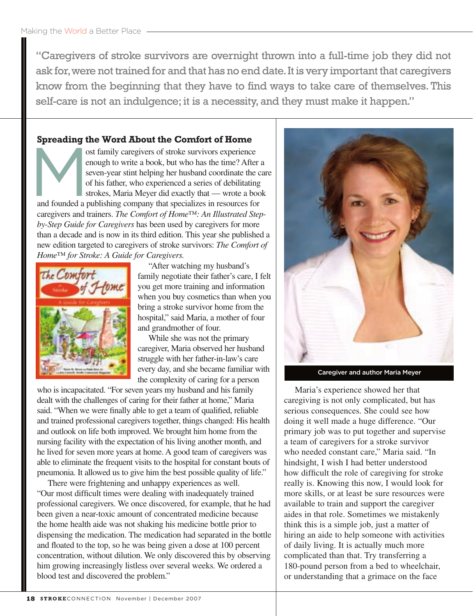"Caregivers of stroke survivors are overnight thrown into a full-time job they did not ask for, were not trained for and that has no end date. It is very important that caregivers know from the beginning that they have to find ways to take care of themselves. This self-care is not an indulgence; it is a necessity, and they must make it happen."

#### **Spreading the Word About the Comfort of Home**

ost family caregivers of stroke survivors experience enough to write a book, but who has the time? After a seven-year stint helping her husband coordinate the care of his father, who experienced a series of debilitating strokes, Maria Meyer did exactly that — wrote a book and founded a publishing company that specializes in resources for caregivers and trainers. *The Comfort of Home™: An Illustrated Stepby-Step Guide for Caregivers* has been used by caregivers for more than a decade and is now in its third edition. This year she published a new edition targeted to caregivers of stroke survivors: *The Comfort of Home™ for Stroke: A Guide for Caregivers.*



"After watching my husband's family negotiate their father's care, I felt you get more training and information when you buy cosmetics than when you bring a stroke survivor home from the hospital," said Maria, a mother of four and grandmother of four.

While she was not the primary caregiver, Maria observed her husband struggle with her father-in-law's care every day, and she became familiar with the complexity of caring for a person

who is incapacitated. "For seven years my husband and his family dealt with the challenges of caring for their father at home," Maria said. "When we were finally able to get a team of qualified, reliable and trained professional caregivers together, things changed: His health and outlook on life both improved. We brought him home from the nursing facility with the expectation of his living another month, and he lived for seven more years at home. A good team of caregivers was able to eliminate the frequent visits to the hospital for constant bouts of pneumonia. It allowed us to give him the best possible quality of life."

There were frightening and unhappy experiences as well. "Our most difficult times were dealing with inadequately trained professional caregivers. We once discovered, for example, that he had been given a near-toxic amount of concentrated medicine because the home health aide was not shaking his medicine bottle prior to dispensing the medication. The medication had separated in the bottle and floated to the top, so he was being given a dose at 100 percent concentration, without dilution. We only discovered this by observing him growing increasingly listless over several weeks. We ordered a blood test and discovered the problem."



Caregiver and author Maria Meyer

Maria's experience showed her that caregiving is not only complicated, but has serious consequences. She could see how doing it well made a huge difference. "Our primary job was to put together and supervise a team of caregivers for a stroke survivor who needed constant care," Maria said. "In hindsight, I wish I had better understood how difficult the role of caregiving for stroke really is. Knowing this now, I would look for more skills, or at least be sure resources were available to train and support the caregiver aides in that role. Sometimes we mistakenly think this is a simple job, just a matter of hiring an aide to help someone with activities of daily living. It is actually much more complicated than that. Try transferring a 180-pound person from a bed to wheelchair, or understanding that a grimace on the face